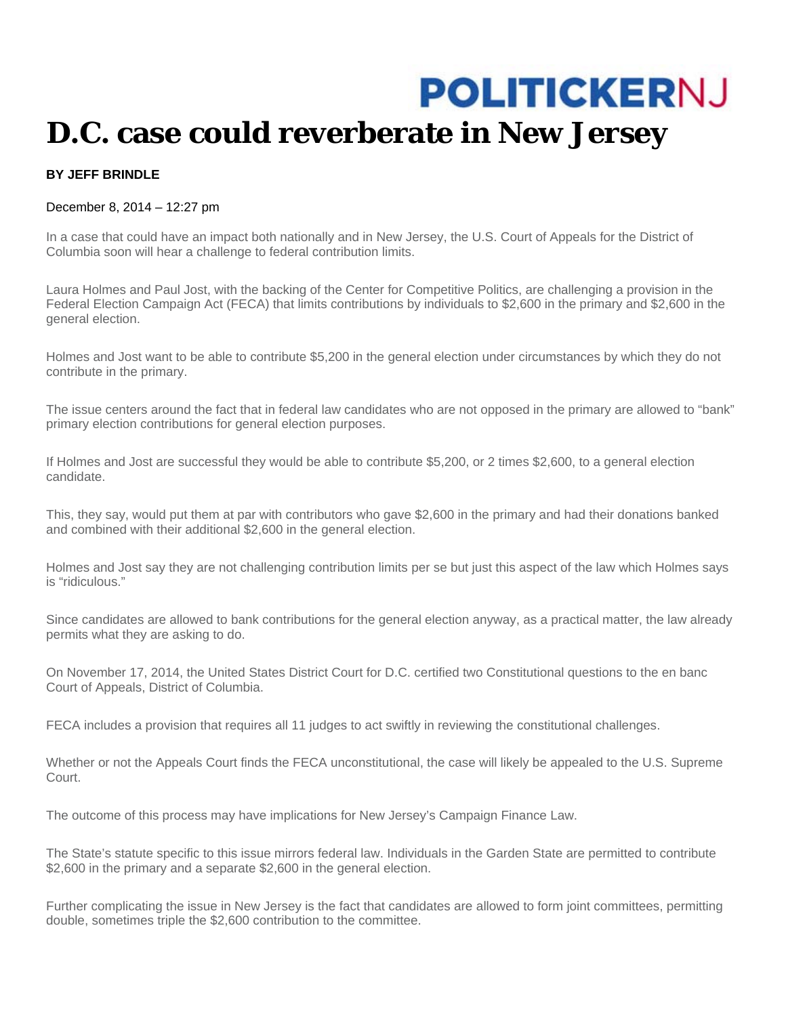## **POLITICKERNJ D.C. case could reverberate in New Jersey**

## **BY JEFF BRINDLE**

## December 8, 2014 – 12:27 pm

In a case that could have an impact both nationally and in New Jersey, the U.S. Court of Appeals for the District of Columbia soon will hear a challenge to federal contribution limits.

Laura Holmes and Paul Jost, with the backing of the Center for Competitive Politics, are challenging a provision in the Federal Election Campaign Act (FECA) that limits contributions by individuals to \$2,600 in the primary and \$2,600 in the general election.

Holmes and Jost want to be able to contribute \$5,200 in the general election under circumstances by which they do not contribute in the primary.

The issue centers around the fact that in federal law candidates who are not opposed in the primary are allowed to "bank" primary election contributions for general election purposes.

If Holmes and Jost are successful they would be able to contribute \$5,200, or 2 times \$2,600, to a general election candidate.

This, they say, would put them at par with contributors who gave \$2,600 in the primary and had their donations banked and combined with their additional \$2,600 in the general election.

Holmes and Jost say they are not challenging contribution limits per se but just this aspect of the law which Holmes says is "ridiculous."

Since candidates are allowed to bank contributions for the general election anyway, as a practical matter, the law already permits what they are asking to do.

On November 17, 2014, the United States District Court for D.C. certified two Constitutional questions to the en banc Court of Appeals, District of Columbia.

FECA includes a provision that requires all 11 judges to act swiftly in reviewing the constitutional challenges.

Whether or not the Appeals Court finds the FECA unconstitutional, the case will likely be appealed to the U.S. Supreme Court.

The outcome of this process may have implications for New Jersey's Campaign Finance Law.

The State's statute specific to this issue mirrors federal law. Individuals in the Garden State are permitted to contribute \$2,600 in the primary and a separate \$2,600 in the general election.

Further complicating the issue in New Jersey is the fact that candidates are allowed to form joint committees, permitting double, sometimes triple the \$2,600 contribution to the committee.